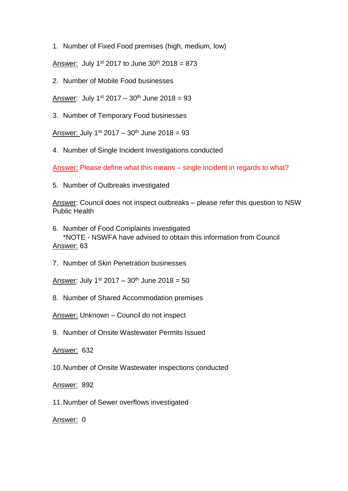1. Number of Fixed Food premises (high, medium, low)

Answer: July 1<sup>st</sup> 2017 to June  $30^{th}$  2018 = 873

2. Number of Mobile Food businesses

Answer: July  $1^{st}$  2017 – 30<sup>th</sup> June 2018 = 93

3. Number of Temporary Food businesses

Answer: July  $1^{st}$  2017 –  $30^{th}$  June 2018 = 93

4. Number of Single Incident Investigations conducted

Answer: Please define what this means – single incident in regards to what?

5. Number of Outbreaks investigated

Answer: Council does not inspect outbreaks – please refer this question to NSW Public Health

6. Number of Food Complaints investigated \*NOTE - NSWFA have advised to obtain this information from Council Answer: 63

7. Number of Skin Penetration businesses

Answer: July  $1^{st}$  2017 –  $30^{th}$  June 2018 = 50

8. Number of Shared Accommodation premises

Answer: Unknown – Council do not inspect

9. Number of Onsite Wastewater Permits Issued

Answer: 632

10.Number of Onsite Wastewater inspections conducted

Answer: 892

11.Number of Sewer overflows investigated

Answer: 0